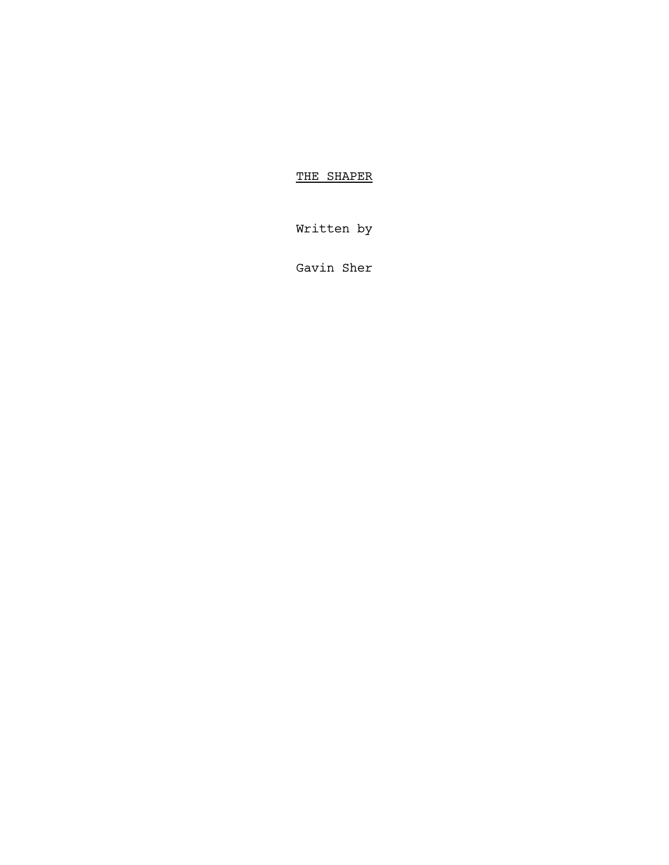# THE SHAPER

Written by

Gavin Sher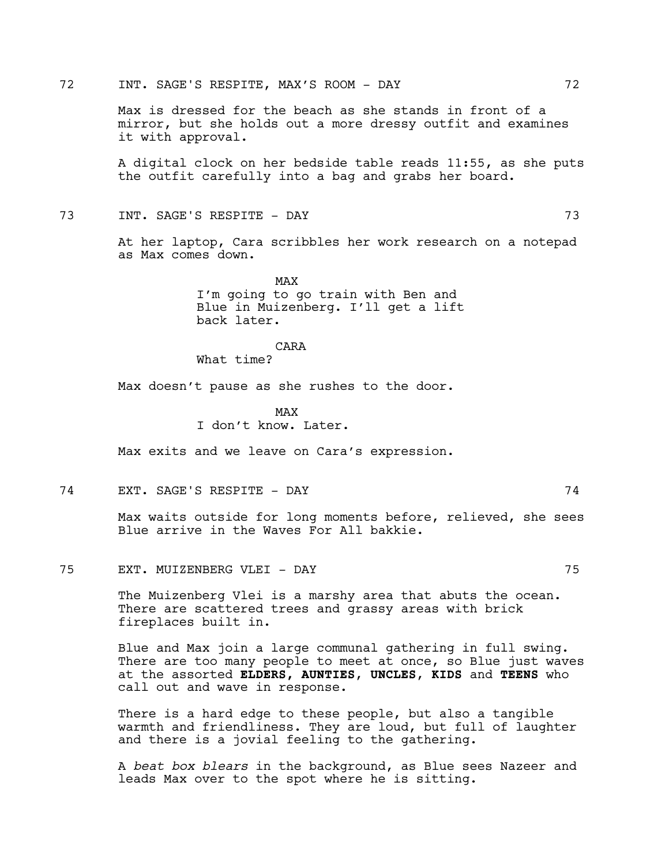Max is dressed for the beach as she stands in front of a mirror, but she holds out a more dressy outfit and examines it with approval.

A digital clock on her bedside table reads 11:55, as she puts the outfit carefully into a bag and grabs her board.

73 INT. SAGE'S RESPITE - DAY 73

At her laptop, Cara scribbles her work research on a notepad as Max comes down.

> MAX I'm going to go train with Ben and Blue in Muizenberg. I'll get a lift back later.

### CARA

What time?

Max doesn't pause as she rushes to the door.

MAX I don't know. Later.

Max exits and we leave on Cara's expression.

74 EXT. SAGE'S RESPITE - DAY 74

Max waits outside for long moments before, relieved, she sees Blue arrive in the Waves For All bakkie.

75 EXT. MUIZENBERG VLEI - DAY 75

The Muizenberg Vlei is a marshy area that abuts the ocean. There are scattered trees and grassy areas with brick fireplaces built in.

Blue and Max join a large communal gathering in full swing. There are too many people to meet at once, so Blue just waves at the assorted **ELDERS, AUNTIES**, **UNCLES**, **KIDS** and **TEENS** who call out and wave in response.

There is a hard edge to these people, but also a tangible warmth and friendliness. They are loud, but full of laughter and there is a jovial feeling to the gathering.

A *beat box blears* in the background, as Blue sees Nazeer and leads Max over to the spot where he is sitting.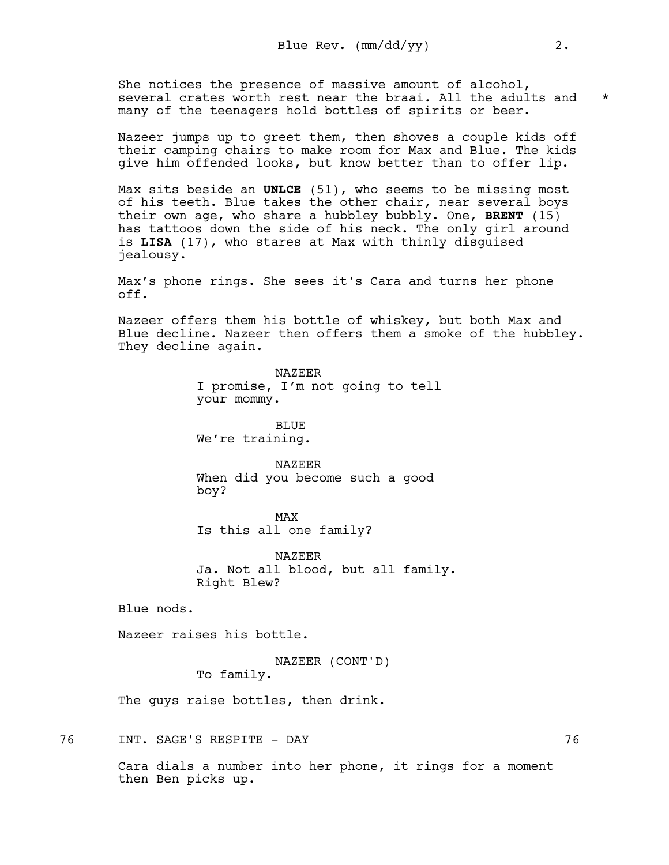She notices the presence of massive amount of alcohol, several crates worth rest near the braai. All the adults and  $*$ many of the teenagers hold bottles of spirits or beer.

Nazeer jumps up to greet them, then shoves a couple kids off their camping chairs to make room for Max and Blue. The kids give him offended looks, but know better than to offer lip.

Max sits beside an **UNLCE** (51), who seems to be missing most of his teeth. Blue takes the other chair, near several boys their own age, who share a hubbley bubbly. One, **BRENT** (15) has tattoos down the side of his neck. The only girl around is **LISA** (17), who stares at Max with thinly disguised jealousy.

Max's phone rings. She sees it's Cara and turns her phone off.

Nazeer offers them his bottle of whiskey, but both Max and Blue decline. Nazeer then offers them a smoke of the hubbley. They decline again.

> NAZEER I promise, I'm not going to tell your mommy.

BLUE We're training.

NAZEER When did you become such a good boy?

MAX Is this all one family?

NAZEER Ja. Not all blood, but all family. Right Blew?

Blue nods.

Nazeer raises his bottle.

NAZEER (CONT'D) To family.

The guys raise bottles, then drink.

76 INT. SAGE'S RESPITE - DAY 76

Cara dials a number into her phone, it rings for a moment then Ben picks up.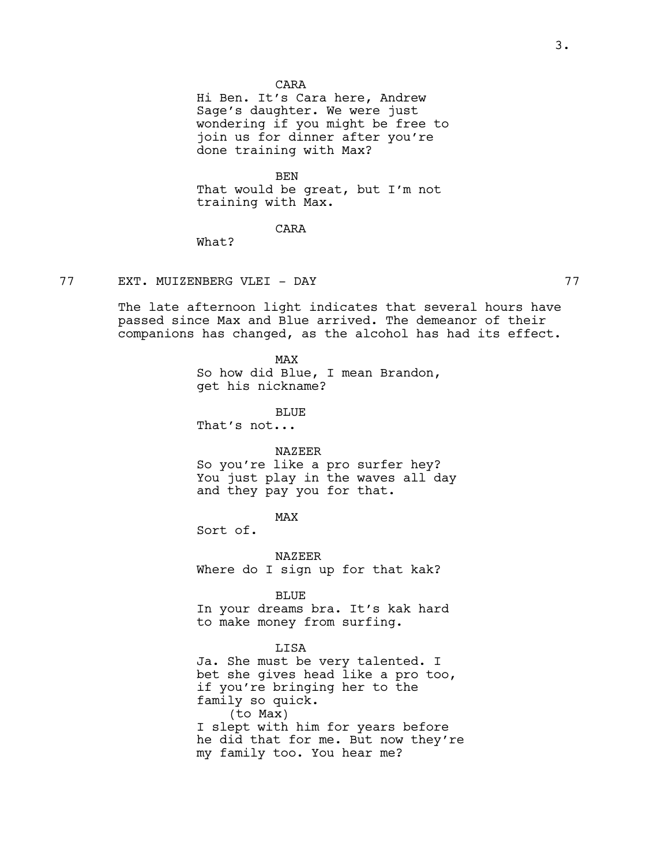## CARA

Hi Ben. It's Cara here, Andrew Sage's daughter. We were just wondering if you might be free to join us for dinner after you're done training with Max?

BEN That would be great, but I'm not training with Max.

# CARA

What?

# 77 EXT. MUIZENBERG VLEI - DAY 77

The late afternoon light indicates that several hours have passed since Max and Blue arrived. The demeanor of their companions has changed, as the alcohol has had its effect.

> MAX So how did Blue, I mean Brandon, get his nickname?

BLUE That's not...

#### NAZEER

So you're like a pro surfer hey? You just play in the waves all day and they pay you for that.

MAX

Sort of.

NAZEER Where do I sign up for that kak?

BLUE

In your dreams bra. It's kak hard to make money from surfing.

# LISA

Ja. She must be very talented. I bet she gives head like a pro too, if you're bringing her to the family so quick. (to Max) I slept with him for years before he did that for me. But now they're my family too. You hear me?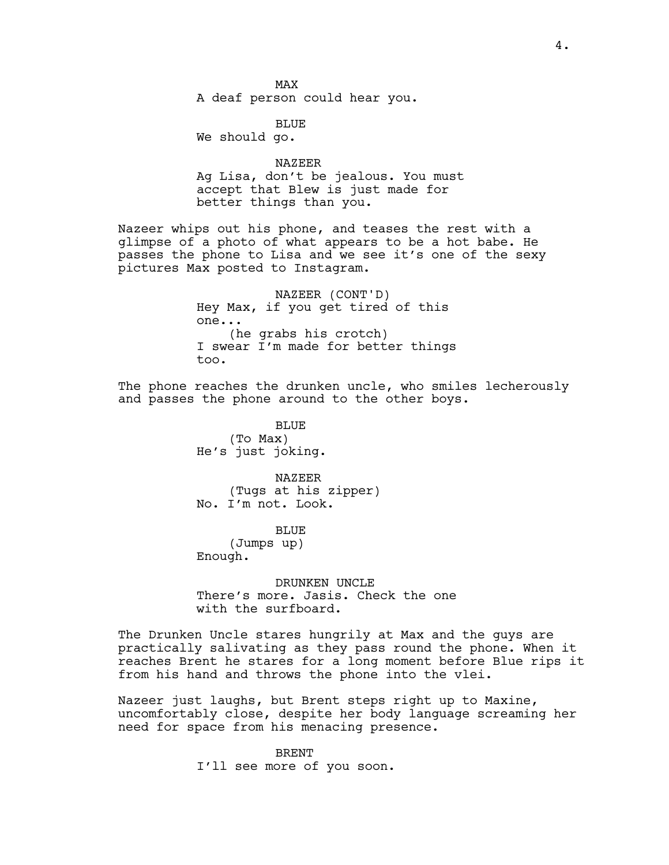MAX A deaf person could hear you.

BLUE We should go.

NAZEER Ag Lisa, don't be jealous. You must accept that Blew is just made for better things than you.

Nazeer whips out his phone, and teases the rest with a glimpse of a photo of what appears to be a hot babe. He passes the phone to Lisa and we see it's one of the sexy pictures Max posted to Instagram.

> NAZEER (CONT'D) Hey Max, if you get tired of this one... (he grabs his crotch) I swear I'm made for better things too.

The phone reaches the drunken uncle, who smiles lecherously and passes the phone around to the other boys.

> BLUE (To Max) He's just joking.

NAZEER (Tugs at his zipper) No. I'm not. Look.

BLUE (Jumps up) Enough.

DRUNKEN UNCLE There's more. Jasis. Check the one with the surfboard.

The Drunken Uncle stares hungrily at Max and the guys are practically salivating as they pass round the phone. When it reaches Brent he stares for a long moment before Blue rips it from his hand and throws the phone into the vlei.

Nazeer just laughs, but Brent steps right up to Maxine, uncomfortably close, despite her body language screaming her need for space from his menacing presence.

> BRENT I'll see more of you soon.